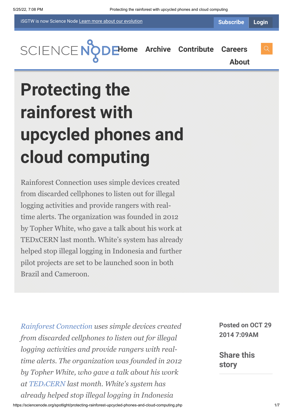iSGTW is now Science Node [Learn more about](https://sciencenode.org/about/index.php#history) our evolution



**[H](https://sciencenode.org/index.php)[ome](https://sciencenode.org/) [Archive](https://sciencenode.org/archive/index.php) [Contribute](https://sciencenode.org/contribute/index.php) [Careers](https://sciencenode.org/careers/index.php)**

**[About](https://sciencenode.org/about/index.php)**

# **Protecting the rainforest with upcycled phones and cloud computing**

Rainforest Connection uses simple devices created from discarded cellphones to listen out for illegal logging activities and provide rangers with realtime alerts. The organization was founded in 2012 by Topher White, who gave a talk about his work at TEDxCERN last month. White's system has already helped stop illegal logging in Indonesia and further pilot projects are set to be launched soon in both Brazil and Cameroon.

*[Rainforest Connection](https://rfcx.org/) uses simple devices created from discarded cellphones to listen out for illegal logging activities and provide rangers with realtime alerts. The organization was founded in 2012 by Topher White, who gave a talk about his work at TEDx[CERN](http://tedxcern.web.cern.ch/) last month. White's system has already helped stop illegal logging in Indonesia*

**Posted on OCT 29 2014 7:09AM**

**Share this story**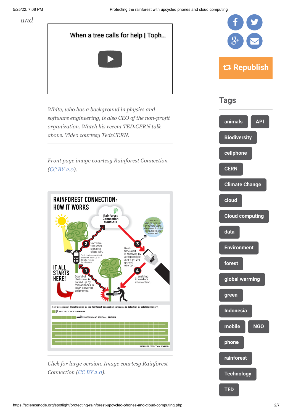*and*



*Connection [\(CC BY 2.0\)](https://creativecommons.org/licenses/by/2.0/).*



**[Technology](https://sciencenode.org/tag/?tag=Technology)**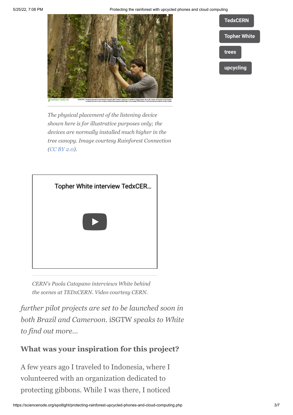



*The physical placement of the listening device shown here is for illustrative purposes only; the devices are normally installed much higher in the tree canopy. Image courtesy Rainforest Connection ([CC BY 2.0\)](https://creativecommons.org/licenses/by/2.0/).*



*CERN's Paola Catapano interviews White behind the scenes at TEDxCERN. Video courtesy CERN.*

*further pilot projects are set to be launched soon in both Brazil and Cameroon.* iSGTW *speaks to White to find out more…*

#### **What was your inspiration for this project?**

A few years ago I traveled to Indonesia, where I volunteered with an organization dedicated to protecting gibbons. While I was there, I noticed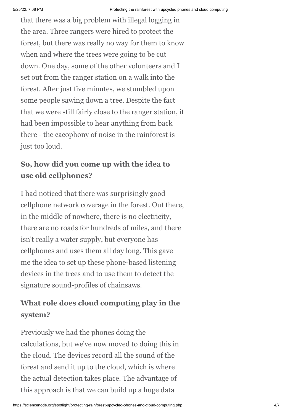that there was a big problem with illegal logging in the area. Three rangers were hired to protect the forest, but there was really no way for them to know when and where the trees were going to be cut down. One day, some of the other volunteers and I set out from the ranger station on a walk into the forest. After just five minutes, we stumbled upon some people sawing down a tree. Despite the fact that we were still fairly close to the ranger station, it had been impossible to hear anything from back there - the cacophony of noise in the rainforest is just too loud.

## **So, how did you come up with the idea to use old cellphones?**

I had noticed that there was surprisingly good cellphone network coverage in the forest. Out there, in the middle of nowhere, there is no electricity, there are no roads for hundreds of miles, and there isn't really a water supply, but everyone has cellphones and uses them all day long. This gave me the idea to set up these phone-based listening devices in the trees and to use them to detect the signature sound-profiles of chainsaws.

## **What role does cloud computing play in the system?**

Previously we had the phones doing the calculations, but we've now moved to doing this in the cloud. The devices record all the sound of the forest and send it up to the cloud, which is where the actual detection takes place. The advantage of this approach is that we can build up a huge data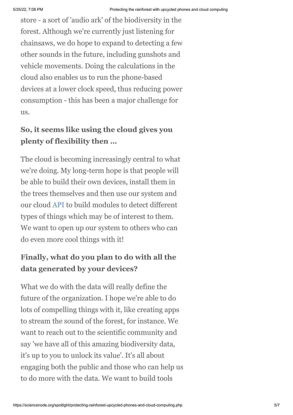store - a sort of 'audio ark' of the biodiversity in the forest. Although we're currently just listening for chainsaws, we do hope to expand to detecting a few other sounds in the future, including gunshots and vehicle movements. Doing the calculations in the cloud also enables us to run the phone-based devices at a lower clock speed, thus reducing power consumption - this has been a major challenge for us.

## **So, it seems like using the cloud gives you plenty of flexibility then …**

The cloud is becoming increasingly central to what we're doing. My long-term hope is that people will be able to build their own devices, install them in the trees themselves and then use our system and our cloud [API](http://application%20programming%20interface/) to build modules to detect different types of things which may be of interest to them. We want to open up our system to others who can do even more cool things with it!

#### **Finally, what do you plan to do with all the data generated by your devices?**

What we do with the data will really define the future of the organization. I hope we're able to do lots of compelling things with it, like creating apps to stream the sound of the forest, for instance. We want to reach out to the scientific community and say 'we have all of this amazing biodiversity data, it's up to you to unlock its value'. It's all about engaging both the public and those who can help us to do more with the data. We want to build tools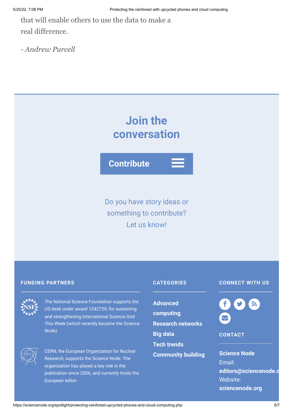that will enable others to use the data to make a real difference.

*- Andrew Purcell*

## **Join the conversation**

**Contribute**

Do you have story ideas or something to contribute? Let us know!

#### **FUNDING PARTNERS CATEGORIES**

The National Science Foundation supports the US desk under award 1242759, for sustaining and strengthening International Science Grid This Week (which recently became the Science Node).



CERN, the European Organization for Nuclear Research, supports the Science Node. The organization has played a key role in the publication since 2006, and currently hosts the European editor.

**Advanced [computing](https://sciencenode.org/archive/?year=2015&category=Advanced%20computing) [Research networks](https://sciencenode.org/archive/?year=2015&category=Advanced%20computing&category=Research%20networks) [Big data](https://sciencenode.org/archive/?year=2015&category=Advanced%20computing&category=Research%20networks&category=Big%20data) [Tech trends](https://sciencenode.org/archive/?year=2015&category=Advanced%20computing&category=Research%20networks&category=Big%20data&category=Tech%20trends) [Community building](https://sciencenode.org/archive/?year=2015&category=Advanced%20computing&category=Research%20networks&category=Big%20data&category=Tech%20trends&category=Community%20building)**

#### **CONNECT WITH US**

f y a  $\blacktriangleright$ 

#### **CONTACT**

**Science Node** Email: **[editors@sciencenode.o](mailto:edit%6F%72s@s%63%69encenode.%6F%72%67)** Website: **[sciencenode.org](https://sciencenode.org/)**